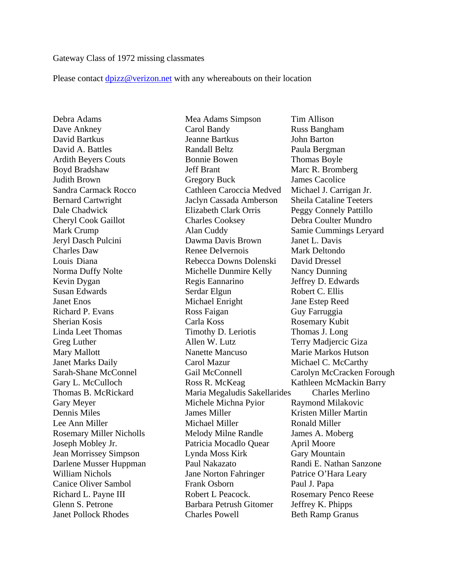## Gateway Class of 1972 missing classmates

Please contact dpizz@verizon.net with any whereabouts on their location

Debra Adams Mea Adams Simpson Tim Allison

Dave Ankney Carol Bandy Russ Bangham David Bartkus Jeanne Bartkus John Barton David A. Battles **Randall Beltz** Paula Bergman Ardith Beyers Couts **Bonnie Bowen** Thomas Boyle Boyd Bradshaw Jeff Brant Marc R. Bromberg Judith Brown Gregory Buck James Cacolice Sandra Carmack Rocco Cathleen Caroccia Medved Michael J. Carrigan Jr. Bernard Cartwright Jaclyn Cassada Amberson Sheila Cataline Teeters Dale Chadwick Elizabeth Clark Orris Peggy Connely Pattillo Cheryl Cook Gaillot Charles Cooksey Debra Coulter Mundro Mark Crump Alan Cuddy Samie Cummings Leryard Jeryl Dasch Pulcini Dawma Davis Brown Janet L. Davis Charles Daw Renee DeIvernois Mark Deltondo Louis Diana Rebecca Downs Dolenski David Dressel Norma Duffy Nolte Michelle Dunmire Kelly Nancy Dunning Kevin Dygan Regis Eannarino Jeffrey D. Edwards Susan Edwards Serdar Elgun Robert C. Ellis Janet Enos Michael Enright Jane Estep Reed Richard P. Evans Ross Faigan Guy Farruggia Sherian Kosis Carla Koss Rosemary Kubit Linda Leet Thomas Timothy D. Leriotis Thomas J. Long Greg Luther Allen W. Lutz Terry Madjercic Giza Mary Mallott Nanette Mancuso Marie Markos Hutson Janet Marks Daily Carol Mazur Michael C. McCarthy Sarah-Shane McConnel Gail McConnell Carolyn McCracken Forough Gary L. McCulloch **Ross R. McKeag Kathleen McMackin Barry** Thomas B. McRickard Maria Megaludis Sakellarides Charles Merlino Gary Meyer Michele Michna Pyior Raymond Milakovic Dennis Miles James Miller Kristen Miller Martin Lee Ann Miller Michael Miller Ronald Miller Rosemary Miller Nicholls Melody Milne Randle James A. Moberg Joseph Mobley Jr. Patricia Mocadlo Quear April Moore Jean Morrissey Simpson Lynda Moss Kirk Gary Mountain Darlene Musser Huppman Paul Nakazato Randi E. Nathan Sanzone William Nichols **Jane Norton Fahringer** Patrice O'Hara Leary Canice Oliver Sambol Frank Osborn Paul J. Papa Richard L. Payne III Robert L Peacock. Rosemary Penco Reese Glenn S. Petrone Barbara Petrush Gitomer Jeffrey K. Phipps Janet Pollock Rhodes Charles Powell Beth Ramp Granus